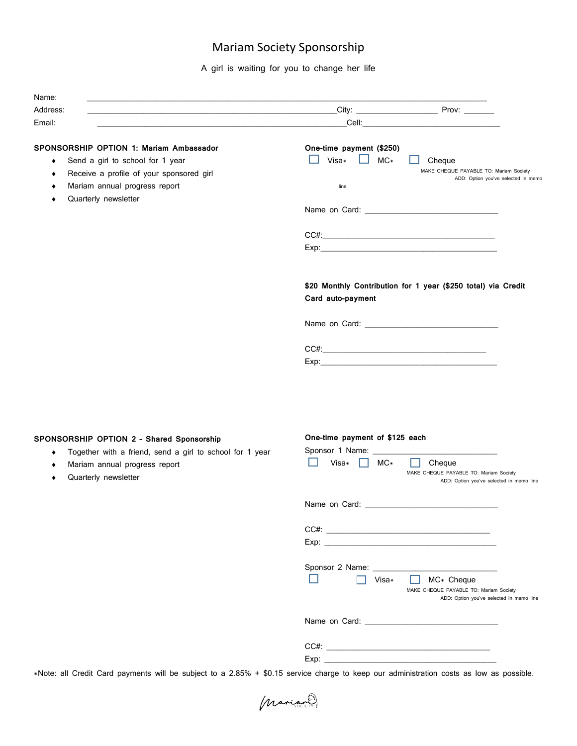## Mariam Society Sponsorship

A girl is waiting for you to change her life

| Address:                                       | City: Prov:                                                   |
|------------------------------------------------|---------------------------------------------------------------|
| Email:                                         |                                                               |
| <b>SPONSORSHIP OPTION 1: Mariam Ambassador</b> | One-time payment (\$250)                                      |
| Send a girl to school for 1 year<br>٠          | Visa*<br>$MC*$<br>$\mathbf{1}$<br>Cheque                      |
| Receive a profile of your sponsored girl       | MAKE CHEQUE PAYABLE TO: Mariam Society                        |
| Mariam annual progress report                  | ADD: Option you've selected in memo<br>line                   |
| Quarterly newsletter                           |                                                               |
|                                                |                                                               |
|                                                | $CC#:\_\_$                                                    |
|                                                |                                                               |
|                                                | \$20 Monthly Contribution for 1 year (\$250 total) via Credit |
|                                                | Card auto-payment                                             |
|                                                |                                                               |
|                                                |                                                               |
|                                                |                                                               |

## **SPONSORSHIP OPTION 2 – Shared Sponsorship**

- ♦ Together with a friend, send a girl to school for 1 year
- ♦ Mariam annual progress report
- ♦ Quarterly newsletter

## **One-time payment of \$125 each**

| Sponsor 1 Name: Sponsor 1 Name:                               |
|---------------------------------------------------------------|
| Visa $\ast$<br>$MC*$<br>Cheque                                |
| MAKE CHEQUE PAYABLE TO: Mariam Society                        |
| ADD: Option you've selected in memo line                      |
|                                                               |
|                                                               |
|                                                               |
|                                                               |
|                                                               |
|                                                               |
|                                                               |
|                                                               |
|                                                               |
| Visa*<br>MC* Cheque<br>MAKE CHEQUE PAYABLE TO: Mariam Society |
| ADD: Option you've selected in memo line                      |
|                                                               |
|                                                               |
|                                                               |
|                                                               |
|                                                               |
|                                                               |

\*Note: all Credit Card payments will be subject to a 2.85% + \$0.15 service charge to keep our administration costs as low as possible.